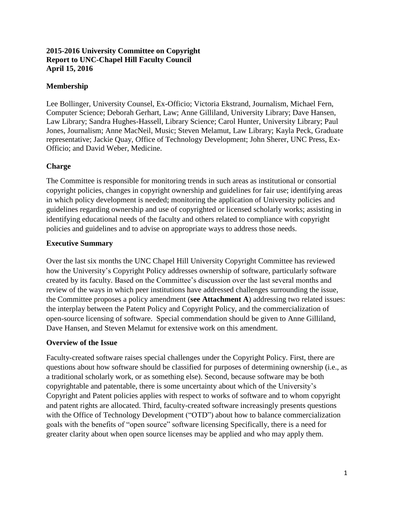## **2015-2016 University Committee on Copyright Report to UNC-Chapel Hill Faculty Council April 15, 2016**

# **Membership**

Lee Bollinger, University Counsel, Ex-Officio; Victoria Ekstrand, Journalism, Michael Fern, Computer Science; Deborah Gerhart, Law; Anne Gilliland, University Library; Dave Hansen, Law Library; Sandra Hughes-Hassell, Library Science; Carol Hunter, University Library; Paul Jones, Journalism; Anne MacNeil, Music; Steven Melamut, Law Library; Kayla Peck, Graduate representative; Jackie Quay, Office of Technology Development; John Sherer, UNC Press, Ex-Officio; and David Weber, Medicine.

# **Charge**

The Committee is responsible for monitoring trends in such areas as institutional or consortial copyright policies, changes in copyright ownership and guidelines for fair use; identifying areas in which policy development is needed; monitoring the application of University policies and guidelines regarding ownership and use of copyrighted or licensed scholarly works; assisting in identifying educational needs of the faculty and others related to compliance with copyright policies and guidelines and to advise on appropriate ways to address those needs.

# **Executive Summary**

Over the last six months the UNC Chapel Hill University Copyright Committee has reviewed how the University's Copyright Policy addresses ownership of software, particularly software created by its faculty. Based on the Committee's discussion over the last several months and review of the ways in which peer institutions have addressed challenges surrounding the issue, the Committee proposes a policy amendment (**see Attachment A**) addressing two related issues: the interplay between the Patent Policy and Copyright Policy, and the commercialization of open-source licensing of software. Special commendation should be given to Anne Gilliland, Dave Hansen, and Steven Melamut for extensive work on this amendment.

## **Overview of the Issue**

Faculty-created software raises special challenges under the Copyright Policy. First, there are questions about how software should be classified for purposes of determining ownership (i.e., as a traditional scholarly work, or as something else). Second, because software may be both copyrightable and patentable, there is some uncertainty about which of the University's Copyright and Patent policies applies with respect to works of software and to whom copyright and patent rights are allocated. Third, faculty-created software increasingly presents questions with the Office of Technology Development ("OTD") about how to balance commercialization goals with the benefits of "open source" software licensing Specifically, there is a need for greater clarity about when open source licenses may be applied and who may apply them.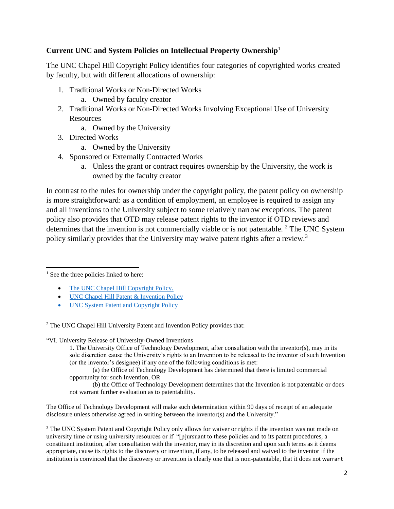## **Current UNC and System Policies on Intellectual Property Ownership**<sup>1</sup>

The UNC Chapel Hill Copyright Policy identifies four categories of copyrighted works created by faculty, but with different allocations of ownership:

- 1. Traditional Works or Non-Directed Works
	- a. Owned by faculty creator
- 2. Traditional Works or Non-Directed Works Involving Exceptional Use of University Resources
	- a. Owned by the University
- 3. Directed Works
	- a. Owned by the University
- 4. Sponsored or Externally Contracted Works
	- a. Unless the grant or contract requires ownership by the University, the work is owned by the faculty creator

In contrast to the rules for ownership under the copyright policy, the patent policy on ownership is more straightforward: as a condition of employment, an employee is required to assign any and all inventions to the University subject to some relatively narrow exceptions. The patent policy also provides that OTD may release patent rights to the inventor if OTD reviews and determines that the invention is not commercially viable or is not patentable.  $2$  The UNC System policy similarly provides that the University may waive patent rights after a review.<sup>3</sup>

l <sup>1</sup> See the three policies linked to here:

- [The UNC Chapel Hill Copyright Policy.](http://policies.unc.edu/files/2013/05/Copyright.pdf)
- UNC Chapel Hill Patent & Invention Policy
- UNC System Patent and Copyright Policy

<sup>2</sup> The UNC Chapel Hill University Patent and Invention Policy provides that:

"VI. University Release of University-Owned Inventions

1. The University Office of Technology Development, after consultation with the inventor(s), may in its sole discretion cause the University's rights to an Invention to be released to the inventor of such Invention (or the inventor's designee) if any one of the following conditions is met:

(a) the Office of Technology Development has determined that there is limited commercial opportunity for such Invention, OR

(b) the Office of Technology Development determines that the Invention is not patentable or does not warrant further evaluation as to patentability.

The Office of Technology Development will make such determination within 90 days of receipt of an adequate disclosure unless otherwise agreed in writing between the inventor(s) and the University."

<sup>3</sup> The UNC System Patent and Copyright Policy only allows for waiver or rights if the invention was not made on university time or using university resources or if "[p]ursuant to these policies and to its patent procedures, a constituent institution, after consultation with the inventor, may in its discretion and upon such terms as it deems appropriate, cause its rights to the discovery or invention, if any, to be released and waived to the inventor if the institution is convinced that the discovery or invention is clearly one that is non-patentable, that it does not warrant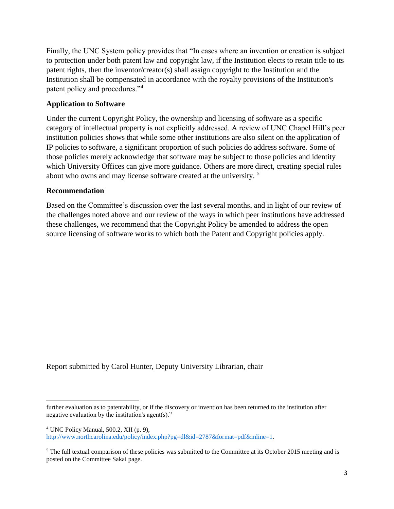Finally, the UNC System policy provides that "In cases where an invention or creation is subject to protection under both patent law and copyright law, if the Institution elects to retain title to its patent rights, then the inventor/creator(s) shall assign copyright to the Institution and the Institution shall be compensated in accordance with the royalty provisions of the Institution's patent policy and procedures."<sup>4</sup>

## **Application to Software**

Under the current Copyright Policy, the ownership and licensing of software as a specific category of intellectual property is not explicitly addressed. A review of UNC Chapel Hill's peer institution policies shows that while some other institutions are also silent on the application of IP policies to software, a significant proportion of such policies do address software. Some of those policies merely acknowledge that software may be subject to those policies and identity which University Offices can give more guidance. Others are more direct, creating special rules about who owns and may license software created at the university. <sup>5</sup>

## **Recommendation**

Based on the Committee's discussion over the last several months, and in light of our review of the challenges noted above and our review of the ways in which peer institutions have addressed these challenges, we recommend that the Copyright Policy be amended to address the open source licensing of software works to which both the Patent and Copyright policies apply.

Report submitted by Carol Hunter, Deputy University Librarian, chair

 $\overline{a}$ further evaluation as to patentability, or if the discovery or invention has been returned to the institution after negative evaluation by the institution's agent(s)."

 $4$  UNC Policy Manual, 500.2, XII (p. 9), [http://www.northcarolina.edu/policy/index.php?pg=dl&id=2787&format=pdf&inline=1.](http://www.northcarolina.edu/policy/index.php?pg=dl&id=2787&format=pdf&inline=1)

 $5$  The full textual comparison of these policies was submitted to the Committee at its October 2015 meeting and is posted on the Committee Sakai page.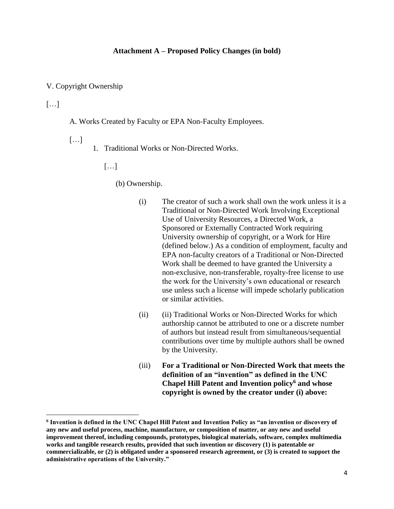#### **Attachment A – Proposed Policy Changes (in bold)**

#### V. Copyright Ownership

## $\lceil \dots \rceil$

l

A. Works Created by Faculty or EPA Non-Faculty Employees.

- $\lceil \dots \rceil$
- 1. Traditional Works or Non-Directed Works.

[…]

(b) Ownership.

- (i) The creator of such a work shall own the work unless it is a Traditional or Non-Directed Work Involving Exceptional Use of University Resources, a Directed Work, a Sponsored or Externally Contracted Work requiring University ownership of copyright, or a Work for Hire (defined below.) As a condition of employment, faculty and EPA non-faculty creators of a Traditional or Non-Directed Work shall be deemed to have granted the University a non-exclusive, non-transferable, royalty-free license to use the work for the University's own educational or research use unless such a license will impede scholarly publication or similar activities.
- (ii) (ii) Traditional Works or Non-Directed Works for which authorship cannot be attributed to one or a discrete number of authors but instead result from simultaneous/sequential contributions over time by multiple authors shall be owned by the University.
- (iii) **For a Traditional or Non-Directed Work that meets the definition of an "invention" as defined in the UNC Chapel Hill Patent and Invention policy<sup>6</sup> and whose copyright is owned by the creator under (i) above:**

**<sup>6</sup> Invention is defined in the UNC Chapel Hill Patent and Invention Policy as "an invention or discovery of any new and useful process, machine, manufacture, or composition of matter, or any new and useful improvement thereof, including compounds, prototypes, biological materials, software, complex multimedia works and tangible research results, provided that such invention or discovery (1) is patentable or commercializable, or (2) is obligated under a sponsored research agreement, or (3) is created to support the administrative operations of the University."**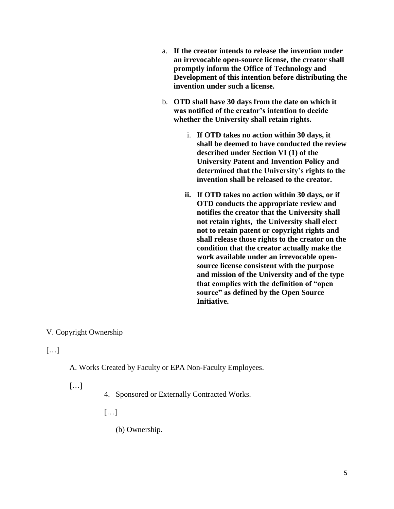- a. **If the creator intends to release the invention under an irrevocable open-source license, the creator shall promptly inform the Office of Technology and Development of this intention before distributing the invention under such a license.**
- b. **OTD shall have 30 days from the date on which it was notified of the creator's intention to decide whether the University shall retain rights.** 
	- i. **If OTD takes no action within 30 days, it shall be deemed to have conducted the review described under Section VI (1) of the University Patent and Invention Policy and determined that the University's rights to the invention shall be released to the creator.**
	- **ii. If OTD takes no action within 30 days, or if OTD conducts the appropriate review and notifies the creator that the University shall not retain rights, the University shall elect not to retain patent or copyright rights and shall release those rights to the creator on the condition that the creator actually make the work available under an irrevocable opensource license consistent with the purpose and mission of the University and of the type that complies with the definition of "open source" as defined by the Open Source Initiative.**

## V. Copyright Ownership

[…]

A. Works Created by Faculty or EPA Non-Faculty Employees.

[…]

4. Sponsored or Externally Contracted Works.

 $\lceil$ ...]

(b) Ownership.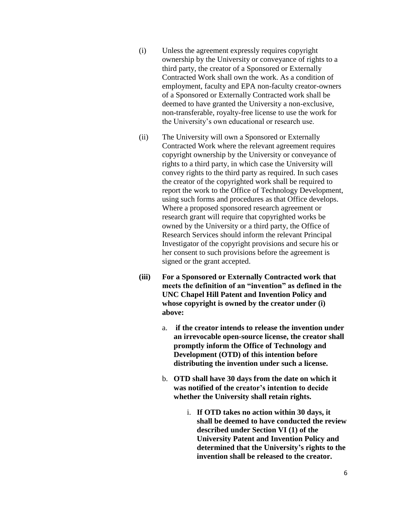- (i) Unless the agreement expressly requires copyright ownership by the University or conveyance of rights to a third party, the creator of a Sponsored or Externally Contracted Work shall own the work. As a condition of employment, faculty and EPA non-faculty creator-owners of a Sponsored or Externally Contracted work shall be deemed to have granted the University a non-exclusive, non-transferable, royalty-free license to use the work for the University's own educational or research use.
- (ii) The University will own a Sponsored or Externally Contracted Work where the relevant agreement requires copyright ownership by the University or conveyance of rights to a third party, in which case the University will convey rights to the third party as required. In such cases the creator of the copyrighted work shall be required to report the work to the Office of Technology Development, using such forms and procedures as that Office develops. Where a proposed sponsored research agreement or research grant will require that copyrighted works be owned by the University or a third party, the Office of Research Services should inform the relevant Principal Investigator of the copyright provisions and secure his or her consent to such provisions before the agreement is signed or the grant accepted.
- **(iii) For a Sponsored or Externally Contracted work that meets the definition of an "invention" as defined in the UNC Chapel Hill Patent and Invention Policy and whose copyright is owned by the creator under (i) above:**
	- a. **if the creator intends to release the invention under an irrevocable open-source license, the creator shall promptly inform the Office of Technology and Development (OTD) of this intention before distributing the invention under such a license.**
	- b. **OTD shall have 30 days from the date on which it was notified of the creator's intention to decide whether the University shall retain rights.** 
		- i. **If OTD takes no action within 30 days, it shall be deemed to have conducted the review described under Section VI (1) of the University Patent and Invention Policy and determined that the University's rights to the invention shall be released to the creator.**